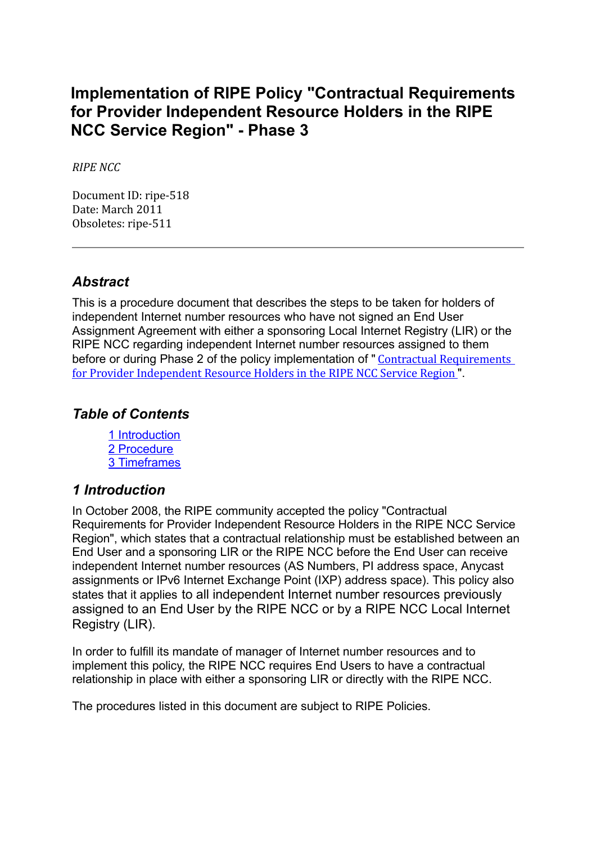# **Implementation of RIPE Policy "Contractual Requirements for Provider Independent Resource Holders in the RIPE NCC Service Region" - Phase 3**

*RIPE NCC*

Document ID: ripe‐518 Date: March 2011 Obsoletes: ripe-511

#### *Abstract*

This is a procedure document that describes the steps to be taken for holders of independent Internet number resources who have not signed an End User Assignment Agreement with either a sponsoring Local Internet Registry (LIR) or the RIPE NCC regarding independent Internet number resources assigned to them before or during Phase 2 of the policy implementation of " Contractual [Requirements](https://www.ripe.net/ripe/docs/contract-req) for Provider [Independent](https://www.ripe.net/ripe/docs/contract-req) Resource Holders in the RIPE NCC Service Region ".

### *Table of Contents*

1 [Introduction](#page-0-0) 2 [Procedure](#page-1-0) 3 [Timeframes](#page-2-0)

#### <span id="page-0-0"></span>*1 Introduction*

In October 2008, the RIPE community accepted the policy "Contractual Requirements for Provider Independent Resource Holders in the RIPE NCC Service Region", which states that a contractual relationship must be established between an End User and a sponsoring LIR or the RIPE NCC before the End User can receive independent Internet number resources (AS Numbers, PI address space, Anycast assignments or IPv6 Internet Exchange Point (IXP) address space). This policy also states that it applies to all independent Internet number resources previously assigned to an End User by the RIPE NCC or by a RIPE NCC Local Internet Registry (LIR).

In order to fulfill its mandate of manager of Internet number resources and to implement this policy, the RIPE NCC requires End Users to have a contractual relationship in place with either a sponsoring LIR or directly with the RIPE NCC.

The procedures listed in this document are subject to RIPE Policies.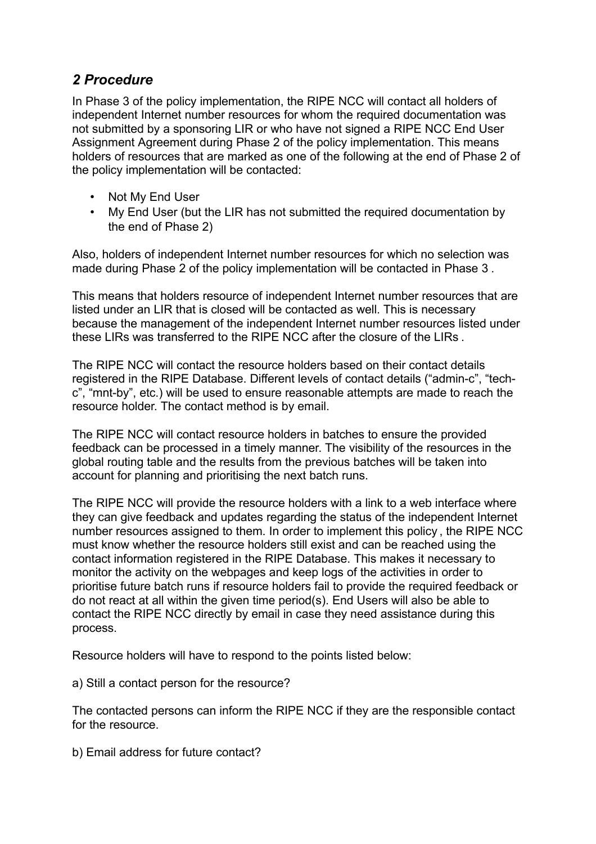## <span id="page-1-0"></span>*2 Procedure*

In Phase 3 of the policy implementation, the RIPE NCC will contact all holders of independent Internet number resources for whom the required documentation was not submitted by a sponsoring LIR or who have not signed a RIPE NCC End User Assignment Agreement during Phase 2 of the policy implementation. This means holders of resources that are marked as one of the following at the end of Phase 2 of the policy implementation will be contacted:

- Not My End User
- My End User (but the LIR has not submitted the required documentation by the end of Phase 2)

Also, holders of independent Internet number resources for which no selection was made during Phase 2 of the policy implementation will be contacted in Phase 3 .

This means that holders resource of independent Internet number resources that are listed under an LIR that is closed will be contacted as well. This is necessary because the management of the independent Internet number resources listed under these LIRs was transferred to the RIPE NCC after the closure of the LIRs .

The RIPE NCC will contact the resource holders based on their contact details registered in the RIPE Database. Different levels of contact details ("admin-c", "techc", "mnt-by", etc.) will be used to ensure reasonable attempts are made to reach the resource holder. The contact method is by email.

The RIPE NCC will contact resource holders in batches to ensure the provided feedback can be processed in a timely manner. The visibility of the resources in the global routing table and the results from the previous batches will be taken into account for planning and prioritising the next batch runs.

The RIPE NCC will provide the resource holders with a link to a web interface where they can give feedback and updates regarding the status of the independent Internet number resources assigned to them. In order to implement this policy , the RIPE NCC must know whether the resource holders still exist and can be reached using the contact information registered in the RIPE Database. This makes it necessary to monitor the activity on the webpages and keep logs of the activities in order to prioritise future batch runs if resource holders fail to provide the required feedback or do not react at all within the given time period(s). End Users will also be able to contact the RIPE NCC directly by email in case they need assistance during this process.

Resource holders will have to respond to the points listed below:

a) Still a contact person for the resource?

The contacted persons can inform the RIPE NCC if they are the responsible contact for the resource.

b) Email address for future contact?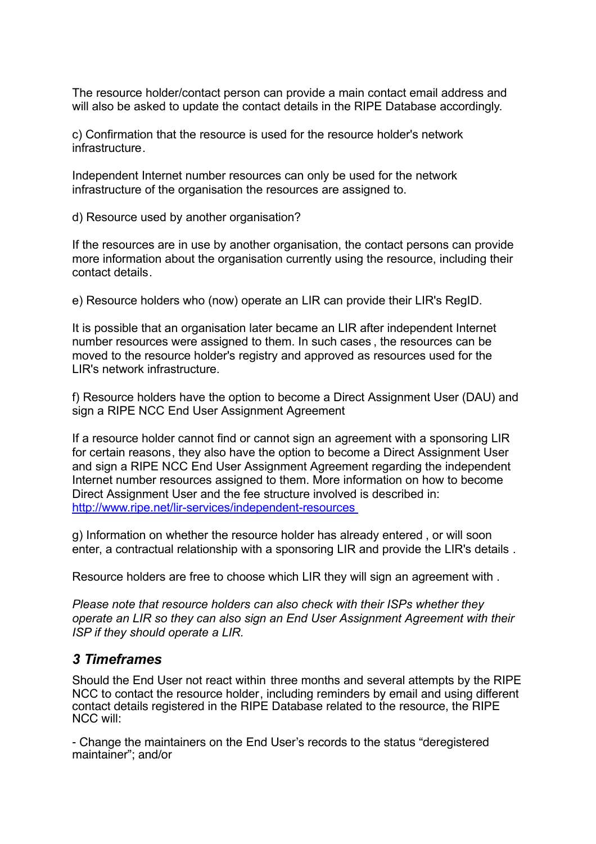The resource holder/contact person can provide a main contact email address and will also be asked to update the contact details in the RIPE Database accordingly.

c) Confirmation that the resource is used for the resource holder's network infrastructure.

Independent Internet number resources can only be used for the network infrastructure of the organisation the resources are assigned to.

d) Resource used by another organisation?

If the resources are in use by another organisation, the contact persons can provide more information about the organisation currently using the resource, including their contact details.

e) Resource holders who (now) operate an LIR can provide their LIR's RegID.

It is possible that an organisation later became an LIR after independent Internet number resources were assigned to them. In such cases , the resources can be moved to the resource holder's registry and approved as resources used for the LIR's network infrastructure.

f) Resource holders have the option to become a Direct Assignment User (DAU) and sign a RIPE NCC End User Assignment Agreement

If a resource holder cannot find or cannot sign an agreement with a sponsoring LIR for certain reasons, they also have the option to become a Direct Assignment User and sign a RIPE NCC End User Assignment Agreement regarding the independent Internet number resources assigned to them. More information on how to become Direct Assignment User and the fee structure involved is described in: <http://www.ripe.net/lir-services/independent-resources>

g) Information on whether the resource holder has already entered , or will soon enter, a contractual relationship with a sponsoring LIR and provide the LIR's details .

Resource holders are free to choose which LIR they will sign an agreement with .

*Please note that resource holders can also check with their ISPs whether they operate an LIR so they can also sign an End User Assignment Agreement with their ISP if they should operate a LIR.*

#### <span id="page-2-0"></span>*3 Timeframes*

Should the End User not react within three months and several attempts by the RIPE NCC to contact the resource holder, including reminders by email and using different contact details registered in the RIPE Database related to the resource, the RIPE NCC will:

- Change the maintainers on the End User's records to the status "deregistered maintainer"; and/or